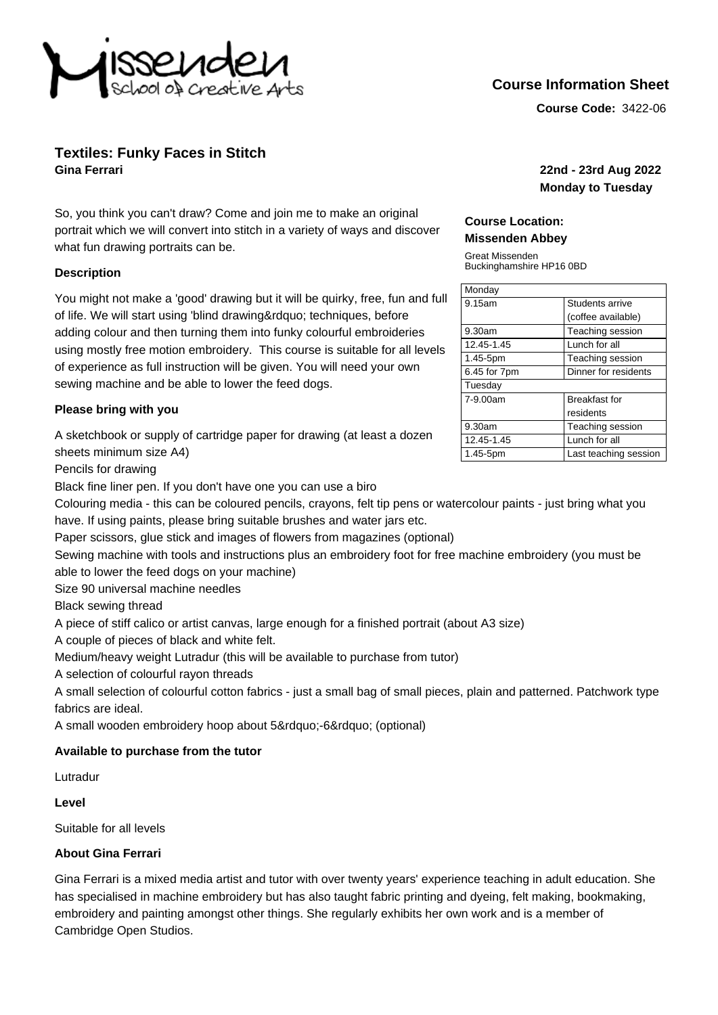

# **Course Information Sheet**

**Course Code:** 3422-06

## **Textiles: Funky Faces in Stitch Gina Ferrari 22nd - 23rd Aug 2022**

So, you think you can't draw? Come and join me to make an original portrait which we will convert into stitch in a variety of ways and discover what fun drawing portraits can be.

#### **Description**

You might not make a 'good' drawing but it will be quirky, free, fun and full of life. We will start using 'blind drawing" techniques, before adding colour and then turning them into funky colourful embroideries using mostly free motion embroidery. This course is suitable for all levels of experience as full instruction will be given. You will need your own sewing machine and be able to lower the feed dogs.

#### **Please bring with you**

A sketchbook or supply of cartridge paper for drawing (at least a dozen sheets minimum size A4)

Pencils for drawing

Black fine liner pen. If you don't have one you can use a biro

**Monday to Tuesday**

#### **Course Location: Missenden Abbey**

Great Missenden Buckinghamshire HP16 0BD

| Monday       |                       |
|--------------|-----------------------|
| 9.15am       | Students arrive       |
|              | (coffee available)    |
| 9.30am       | Teaching session      |
| 12.45-1.45   | Lunch for all         |
| 1.45-5pm     | Teaching session      |
| 6.45 for 7pm | Dinner for residents  |
| Tuesday      |                       |
| 7-9.00am     | <b>Breakfast for</b>  |
|              | residents             |
| 9.30am       | Teaching session      |
| 12.45-1.45   | Lunch for all         |
| 1.45-5pm     | Last teaching session |

Colouring media - this can be coloured pencils, crayons, felt tip pens or watercolour paints - just bring what you have. If using paints, please bring suitable brushes and water jars etc.

Paper scissors, glue stick and images of flowers from magazines (optional)

Sewing machine with tools and instructions plus an embroidery foot for free machine embroidery (you must be able to lower the feed dogs on your machine)

Size 90 universal machine needles

Black sewing thread

A piece of stiff calico or artist canvas, large enough for a finished portrait (about A3 size)

A couple of pieces of black and white felt.

Medium/heavy weight Lutradur (this will be available to purchase from tutor)

A selection of colourful rayon threads

A small selection of colourful cotton fabrics - just a small bag of small pieces, plain and patterned. Patchwork type fabrics are ideal.

A small wooden embroidery hoop about 5"-6" (optional)

## **Available to purchase from the tutor**

Lutradur

#### **Level**

Suitable for all levels

## **About Gina Ferrari**

Gina Ferrari is a mixed media artist and tutor with over twenty years' experience teaching in adult education. She has specialised in machine embroidery but has also taught fabric printing and dyeing, felt making, bookmaking, embroidery and painting amongst other things. She regularly exhibits her own work and is a member of Cambridge Open Studios.